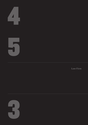

Law Firm

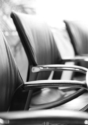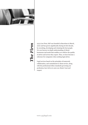

## The Firm *The Firm*

4|5|3 Law Firm, SAP was founded in Barcelona in March, 2000 and has grown significantly during its first decade, by recruiting, developing and retaining the best people. It is our lawyers in-depth understanding of clients' businesses and needs that enables us to deliver the quality of advice and service they expect. Thus, we have become a reference for companies when seeking legal advice.

Legal services based on the principles of teamwork, collaboration, and commitment to client service, along with the professional ethics standards governing our profession, have led us to earn our clients' trust and respect.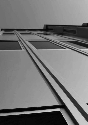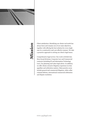

### Mission *Mission*

Client satisfaction: Identifying our clients real needs has always been and remains one of our main objectives, together with offering the best solution for every single case in a constructive and cost-effective manner. We take a proactive approach to solving our client's legal issues.

Comprehensive legal service: Our work is divided into three broad divisions: Corporate Law and Commercial contracts (including IP and Information Technology Law), Tax planning and Labor legal advice. In addition, we offer clients extensive litigation experience in trial, appellate and arbitration matters. Main practice areas include general and commercial litigation, white collar criminal defense, international commercial arbitration and dispute resolution.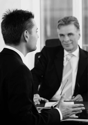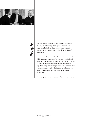

## *People*

The firm is comprised of former big firm (Cuatrecasas, KPMG, Ernst & Young) attorneys and lawyers with experience in the legal department of international corporations, who are committed to client service and excellent work.

Our lawyers take great pride in their fundamental legal skills and all are expected to be exemplary professionals with consummate experience in their particular discipline. In addition, constant updating and fine tuning of their legal knowledge is something we take very seriously. Thus, we make sure the quality of client service offered by our firm to both local and international clients is 100% guaranteed.

We strongly believe our people are the key of our success.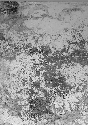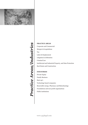

# Practice Areas/Industries *Practice Areas/Industries*

### **PRACTICE AREAS**

Corporate and Commercial Mergers & Acquisitions Tax Labor & Employment Litigation & Arbitration Criminal Law Intellectual and Industrial Property, and Data Protection Real Estate and Construction

### **INDUSTRIES**

Private Equity Family Business Start up's Technology based companies Renewable energy, Pharmacy and Biotechnology Foundations and non-profit organizations Public institutions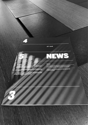$4T - 2018$ 

o reglamento Int

en torno a la plusvalía

Ŧ

el marco jurídico de la protección<br>empresariales Novedades<br>de los secret Ŧ.

## NEWS

### **Breves**

Conclusiones del Abogado General UE acerca<br>de las Cláusulas de Vencimiento Anticipado

Trabajadores Autónomos y su incorporación<br>al Sistema RED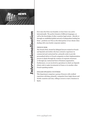

# Internationalisation *Internationalisation*

Ever since the Firm was founded, we have been very active internationally. The perfect domain of different languages, as well as the knowledge of other countries legal system –directly or through an established global network of independent leading law firms– positions our Firm as the ideal partner of our clients when dealing with cross-border corporate matters.

### FRENCH DESK

The French Desk, formed by bilingual lawyers trained at French and Spanish universities who have extensive experience in commercial and contractual law, primarily seeks to provide personalised advice to French companies on their implementation process in Spain through the creation of corporate structures or through any contractual form of business organisation. Furthermore, we are involved in operations in which our Spanish clients wish to make investments in France or in another other French-speaking market.

### ENGLISH SPEAKING COUNTRIES

This department comprises a group of lawyers with credited experience advising, primarily, companies from Anglo-Saxon and Nordic countries and Asia, willing to invest or start a business in Spain.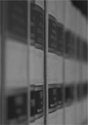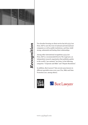

Firm, SAP to earn the trust of national and international companies as well as public institutions, and thus, build strong, substantial and lasting client relationships.

Two decades focusing on client service has led 4|5|3 Law<br>
Firm, SAP to earn the trust of national and international<br>
companies as well as public institutions, and thus, build<br>
strong, substantial and lasting client relatio Among other international recognitions 4|5|3 Law Firm, SAP is a recommended firm by The Legal 500, an independent research organization that publishes guides to the world's "pre-eminent" law firms, in the following categories: "Corporate and M&A" and "Dispute Resolution".

In addition, Best Lawyers® lists several 4|5|3 lawyers in different specialist areas every year (Tax, M&A and Data Protection Law, among others).



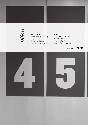## *Offices*

BARCELONA Av. Diagonal, 453 bis, 4ª pl. 08036 Barcelona T. +34 93 238 88 88 email: info@453legal.com

MADRID C/ Moreto, 10, bajo izqda. 28014 Madrid T. +34 91 564 46 00 email: info@453legal.com



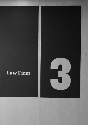### **Law Firm**